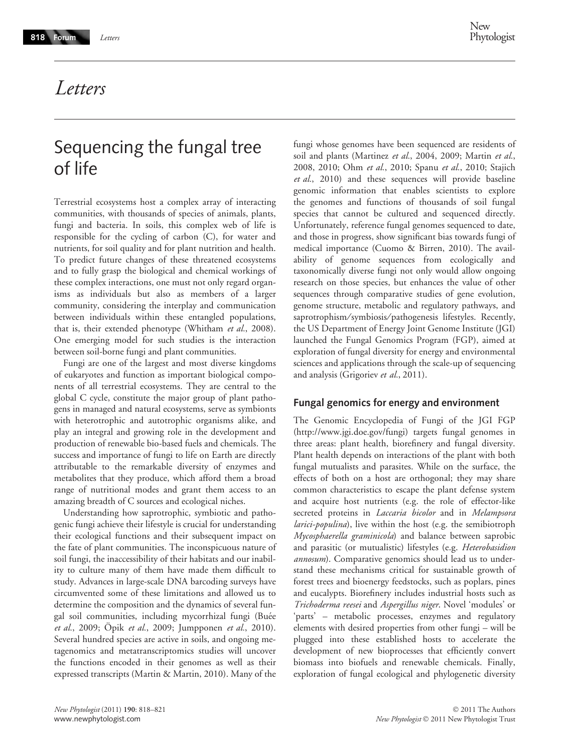# Sequencing the fungal tree of life

Terrestrial ecosystems host a complex array of interacting communities, with thousands of species of animals, plants, fungi and bacteria. In soils, this complex web of life is responsible for the cycling of carbon (C), for water and nutrients, for soil quality and for plant nutrition and health. To predict future changes of these threatened ecosystems and to fully grasp the biological and chemical workings of these complex interactions, one must not only regard organisms as individuals but also as members of a larger community, considering the interplay and communication between individuals within these entangled populations, that is, their extended phenotype (Whitham et al., 2008). One emerging model for such studies is the interaction between soil-borne fungi and plant communities.

Fungi are one of the largest and most diverse kingdoms of eukaryotes and function as important biological components of all terrestrial ecosystems. They are central to the global C cycle, constitute the major group of plant pathogens in managed and natural ecosystems, serve as symbionts with heterotrophic and autotrophic organisms alike, and play an integral and growing role in the development and production of renewable bio-based fuels and chemicals. The success and importance of fungi to life on Earth are directly attributable to the remarkable diversity of enzymes and metabolites that they produce, which afford them a broad range of nutritional modes and grant them access to an amazing breadth of C sources and ecological niches.

Understanding how saprotrophic, symbiotic and pathogenic fungi achieve their lifestyle is crucial for understanding their ecological functions and their subsequent impact on the fate of plant communities. The inconspicuous nature of soil fungi, the inaccessibility of their habitats and our inability to culture many of them have made them difficult to study. Advances in large-scale DNA barcoding surveys have circumvented some of these limitations and allowed us to determine the composition and the dynamics of several fungal soil communities, including mycorrhizal fungi (Buée et al., 2009; Öpik et al., 2009; Jumpponen et al., 2010). Several hundred species are active in soils, and ongoing metagenomics and metatranscriptomics studies will uncover the functions encoded in their genomes as well as their expressed transcripts (Martin & Martin, 2010). Many of the

fungi whose genomes have been sequenced are residents of soil and plants (Martinez et al., 2004, 2009; Martin et al., 2008, 2010; Ohm et al., 2010; Spanu et al., 2010; Stajich et al., 2010) and these sequences will provide baseline genomic information that enables scientists to explore the genomes and functions of thousands of soil fungal species that cannot be cultured and sequenced directly. Unfortunately, reference fungal genomes sequenced to date, and those in progress, show significant bias towards fungi of medical importance (Cuomo & Birren, 2010). The availability of genome sequences from ecologically and taxonomically diverse fungi not only would allow ongoing research on those species, but enhances the value of other sequences through comparative studies of gene evolution, genome structure, metabolic and regulatory pathways, and saprotrophism/symbiosis/pathogenesis lifestyles. Recently, the US Department of Energy Joint Genome Institute (JGI) launched the Fungal Genomics Program (FGP), aimed at exploration of fungal diversity for energy and environmental sciences and applications through the scale-up of sequencing and analysis (Grigoriev et al., 2011).

## Fungal genomics for energy and environment

The Genomic Encyclopedia of Fungi of the JGI FGP (http://www.jgi.doe.gov/fungi) targets fungal genomes in three areas: plant health, biorefinery and fungal diversity. Plant health depends on interactions of the plant with both fungal mutualists and parasites. While on the surface, the effects of both on a host are orthogonal; they may share common characteristics to escape the plant defense system and acquire host nutrients (e.g. the role of effector-like secreted proteins in *Laccaria bicolor* and in *Melampsora larici-populina*), live within the host (e.g. the semibiotroph Mycosphaerella graminicola) and balance between saprobic and parasitic (or mutualistic) lifestyles (e.g. Heterobasidion annosum). Comparative genomics should lead us to understand these mechanisms critical for sustainable growth of forest trees and bioenergy feedstocks, such as poplars, pines and eucalypts. Biorefinery includes industrial hosts such as Trichoderma reesei and Aspergillus niger. Novel 'modules' or 'parts' – metabolic processes, enzymes and regulatory elements with desired properties from other fungi – will be plugged into these established hosts to accelerate the development of new bioprocesses that efficiently convert biomass into biofuels and renewable chemicals. Finally, exploration of fungal ecological and phylogenetic diversity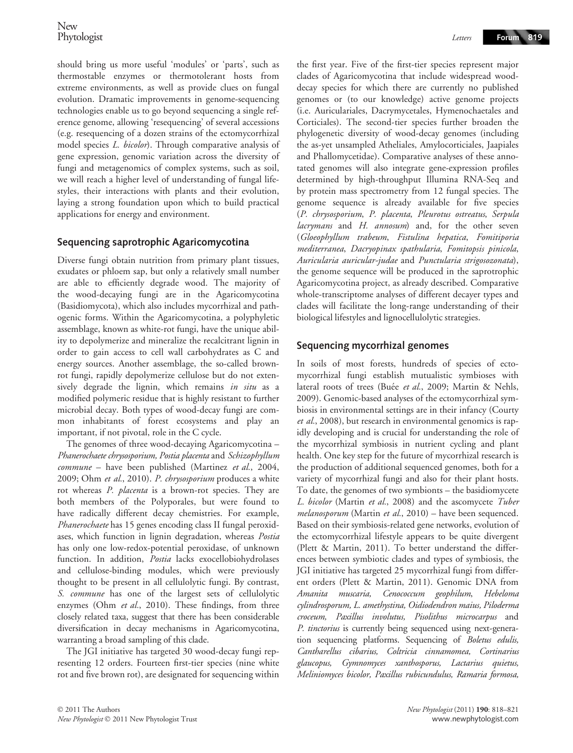should bring us more useful 'modules' or 'parts', such as thermostable enzymes or thermotolerant hosts from extreme environments, as well as provide clues on fungal evolution. Dramatic improvements in genome-sequencing technologies enable us to go beyond sequencing a single reference genome, allowing 'resequencing' of several accessions (e.g. resequencing of a dozen strains of the ectomycorrhizal model species L. bicolor). Through comparative analysis of gene expression, genomic variation across the diversity of fungi and metagenomics of complex systems, such as soil, we will reach a higher level of understanding of fungal lifestyles, their interactions with plants and their evolution, laying a strong foundation upon which to build practical applications for energy and environment.

## Sequencing saprotrophic Agaricomycotina

Diverse fungi obtain nutrition from primary plant tissues, exudates or phloem sap, but only a relatively small number are able to efficiently degrade wood. The majority of the wood-decaying fungi are in the Agaricomycotina (Basidiomycota), which also includes mycorrhizal and pathogenic forms. Within the Agaricomycotina, a polyphyletic assemblage, known as white-rot fungi, have the unique ability to depolymerize and mineralize the recalcitrant lignin in order to gain access to cell wall carbohydrates as C and energy sources. Another assemblage, the so-called brownrot fungi, rapidly depolymerize cellulose but do not extensively degrade the lignin, which remains in situ as a modified polymeric residue that is highly resistant to further microbial decay. Both types of wood-decay fungi are common inhabitants of forest ecosystems and play an important, if not pivotal, role in the C cycle.

The genomes of three wood-decaying Agaricomycotina – Phanerochaete chrysosporium, Postia placenta and Schizophyllum commune - have been published (Martinez et al., 2004, 2009; Ohm et al., 2010). P. chrysosporium produces a white rot whereas P. placenta is a brown-rot species. They are both members of the Polyporales, but were found to have radically different decay chemistries. For example, Phanerochaete has 15 genes encoding class II fungal peroxidases, which function in lignin degradation, whereas Postia has only one low-redox-potential peroxidase, of unknown function. In addition, Postia lacks exocellobiohydrolases and cellulose-binding modules, which were previously thought to be present in all cellulolytic fungi. By contrast, S. commune has one of the largest sets of cellulolytic enzymes (Ohm et al., 2010). These findings, from three closely related taxa, suggest that there has been considerable diversification in decay mechanisms in Agaricomycotina, warranting a broad sampling of this clade.

The JGI initiative has targeted 30 wood-decay fungi representing 12 orders. Fourteen first-tier species (nine white rot and five brown rot), are designated for sequencing within

the first year. Five of the first-tier species represent major clades of Agaricomycotina that include widespread wooddecay species for which there are currently no published genomes or (to our knowledge) active genome projects (i.e. Auriculariales, Dacrymycetales, Hymenochaetales and Corticiales). The second-tier species further broaden the phylogenetic diversity of wood-decay genomes (including the as-yet unsampled Atheliales, Amylocorticiales, Jaapiales and Phallomycetidae). Comparative analyses of these annotated genomes will also integrate gene-expression profiles determined by high-throughput Illumina RNA-Seq and by protein mass spectrometry from 12 fungal species. The genome sequence is already available for five species (P. chrysosporium, P. placenta, Pleurotus ostreatus, Serpula lacrymans and H. annosum) and, for the other seven (Gloeophyllum trabeum, Fistulina hepatica, Fomitiporia mediterranea, Dacryopinax spathularia, Fomitopsis pinicola, Auricularia auricular-judae and Punctularia strigosozonata), the genome sequence will be produced in the saprotrophic Agaricomycotina project, as already described. Comparative whole-transcriptome analyses of different decayer types and clades will facilitate the long-range understanding of their biological lifestyles and lignocellulolytic strategies.

## Sequencing mycorrhizal genomes

In soils of most forests, hundreds of species of ectomycorrhizal fungi establish mutualistic symbioses with lateral roots of trees (Buée et al., 2009; Martin & Nehls, 2009). Genomic-based analyses of the ectomycorrhizal symbiosis in environmental settings are in their infancy (Courty et al., 2008), but research in environmental genomics is rapidly developing and is crucial for understanding the role of the mycorrhizal symbiosis in nutrient cycling and plant health. One key step for the future of mycorrhizal research is the production of additional sequenced genomes, both for a variety of mycorrhizal fungi and also for their plant hosts. To date, the genomes of two symbionts – the basidiomycete L. bicolor (Martin et al., 2008) and the ascomycete  $Tuber$ melanosporum (Martin et al., 2010) – have been sequenced. Based on their symbiosis-related gene networks, evolution of the ectomycorrhizal lifestyle appears to be quite divergent (Plett & Martin, 2011). To better understand the differences between symbiotic clades and types of symbiosis, the JGI initiative has targeted 25 mycorrhizal fungi from different orders (Plett & Martin, 2011). Genomic DNA from Amanita muscaria, Cenococcum geophilum, Hebeloma cylindrosporum, L. amethystina, Oidiodendron maius, Piloderma croceum, Paxillus involutus, Pisolithus microcarpus and P. tinctorius is currently being sequenced using next-generation sequencing platforms. Sequencing of Boletus edulis, Cantharellus cibarius, Coltricia cinnamomea, Cortinarius glaucopus, Gymnomyces xanthosporus, Lactarius quietus, Meliniomyces bicolor, Paxillus rubicundulus, Ramaria formosa,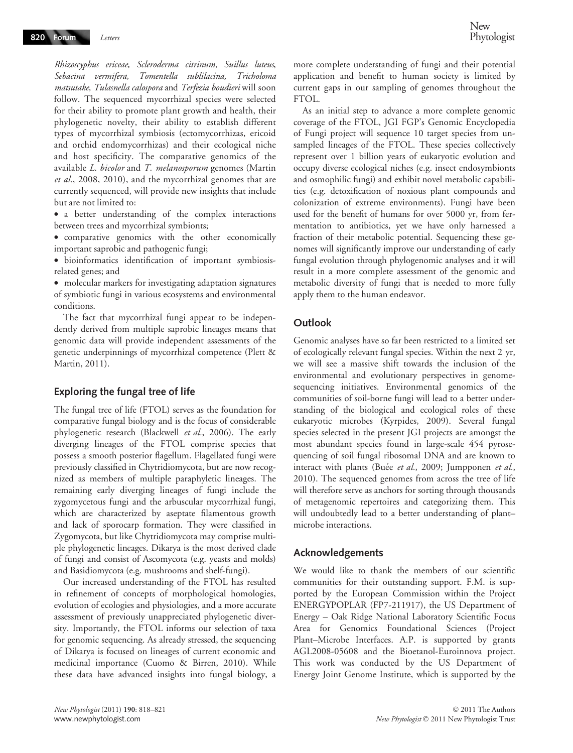

Rhizoscyphus ericeae, Scleroderma citrinum, Suillus luteus, Sebacina vermifera, Tomentella sublilacina, Tricholoma matsutake, Tulasnella calospora and Terfezia boudieri will soon follow. The sequenced mycorrhizal species were selected for their ability to promote plant growth and health, their phylogenetic novelty, their ability to establish different types of mycorrhizal symbiosis (ectomycorrhizas, ericoid and orchid endomycorrhizas) and their ecological niche and host specificity. The comparative genomics of the available L. bicolor and T. melanosporum genomes (Martin et al., 2008, 2010), and the mycorrhizal genomes that are currently sequenced, will provide new insights that include but are not limited to:

• a better understanding of the complex interactions between trees and mycorrhizal symbionts;

• comparative genomics with the other economically important saprobic and pathogenic fungi;

• bioinformatics identification of important symbiosisrelated genes; and

• molecular markers for investigating adaptation signatures of symbiotic fungi in various ecosystems and environmental conditions.

The fact that mycorrhizal fungi appear to be independently derived from multiple saprobic lineages means that genomic data will provide independent assessments of the genetic underpinnings of mycorrhizal competence (Plett & Martin, 2011).

#### Exploring the fungal tree of life

The fungal tree of life (FTOL) serves as the foundation for comparative fungal biology and is the focus of considerable phylogenetic research (Blackwell et al., 2006). The early diverging lineages of the FTOL comprise species that possess a smooth posterior flagellum. Flagellated fungi were previously classified in Chytridiomycota, but are now recognized as members of multiple paraphyletic lineages. The remaining early diverging lineages of fungi include the zygomycetous fungi and the arbuscular mycorrhizal fungi, which are characterized by aseptate filamentous growth and lack of sporocarp formation. They were classified in Zygomycota, but like Chytridiomycota may comprise multiple phylogenetic lineages. Dikarya is the most derived clade of fungi and consist of Ascomycota (e.g. yeasts and molds) and Basidiomycota (e.g. mushrooms and shelf-fungi).

Our increased understanding of the FTOL has resulted in refinement of concepts of morphological homologies, evolution of ecologies and physiologies, and a more accurate assessment of previously unappreciated phylogenetic diversity. Importantly, the FTOL informs our selection of taxa for genomic sequencing. As already stressed, the sequencing of Dikarya is focused on lineages of current economic and medicinal importance (Cuomo & Birren, 2010). While these data have advanced insights into fungal biology, a more complete understanding of fungi and their potential application and benefit to human society is limited by current gaps in our sampling of genomes throughout the FTOL.

As an initial step to advance a more complete genomic coverage of the FTOL, JGI FGP's Genomic Encyclopedia of Fungi project will sequence 10 target species from unsampled lineages of the FTOL. These species collectively represent over 1 billion years of eukaryotic evolution and occupy diverse ecological niches (e.g. insect endosymbionts and osmophilic fungi) and exhibit novel metabolic capabilities (e.g. detoxification of noxious plant compounds and colonization of extreme environments). Fungi have been used for the benefit of humans for over 5000 yr, from fermentation to antibiotics, yet we have only harnessed a fraction of their metabolic potential. Sequencing these genomes will significantly improve our understanding of early fungal evolution through phylogenomic analyses and it will result in a more complete assessment of the genomic and metabolic diversity of fungi that is needed to more fully apply them to the human endeavor.

#### **Outlook**

Genomic analyses have so far been restricted to a limited set of ecologically relevant fungal species. Within the next 2 yr, we will see a massive shift towards the inclusion of the environmental and evolutionary perspectives in genomesequencing initiatives. Environmental genomics of the communities of soil-borne fungi will lead to a better understanding of the biological and ecological roles of these eukaryotic microbes (Kyrpides, 2009). Several fungal species selected in the present JGI projects are amongst the most abundant species found in large-scale 454 pyrosequencing of soil fungal ribosomal DNA and are known to interact with plants (Buée et al., 2009; Jumpponen et al., 2010). The sequenced genomes from across the tree of life will therefore serve as anchors for sorting through thousands of metagenomic repertoires and categorizing them. This will undoubtedly lead to a better understanding of plant– microbe interactions.

#### Acknowledgements

We would like to thank the members of our scientific communities for their outstanding support. F.M. is supported by the European Commission within the Project ENERGYPOPLAR (FP7-211917), the US Department of Energy – Oak Ridge National Laboratory Scientific Focus Area for Genomics Foundational Sciences (Project Plant–Microbe Interfaces. A.P. is supported by grants AGL2008-05608 and the Bioetanol-Euroinnova project. This work was conducted by the US Department of Energy Joint Genome Institute, which is supported by the